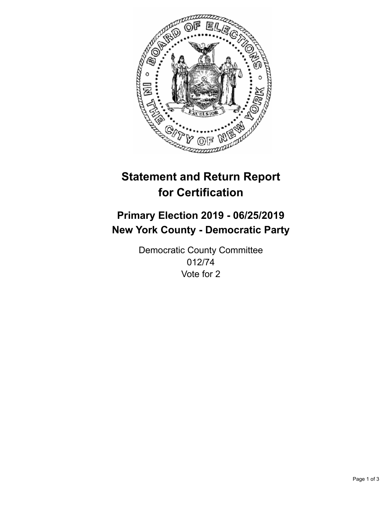

## **Statement and Return Report for Certification**

## **Primary Election 2019 - 06/25/2019 New York County - Democratic Party**

Democratic County Committee 012/74 Vote for 2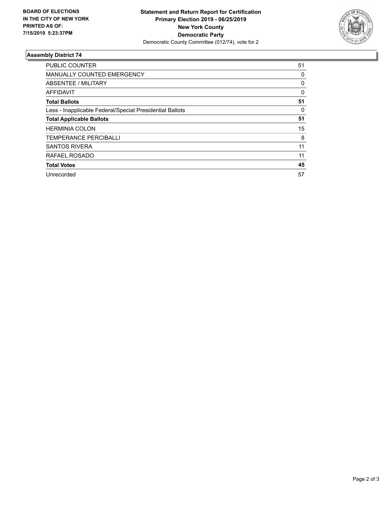

## **Assembly District 74**

| <b>PUBLIC COUNTER</b>                                    | 51       |
|----------------------------------------------------------|----------|
| <b>MANUALLY COUNTED EMERGENCY</b>                        | 0        |
| ABSENTEE / MILITARY                                      | 0        |
| AFFIDAVIT                                                | $\Omega$ |
| <b>Total Ballots</b>                                     | 51       |
| Less - Inapplicable Federal/Special Presidential Ballots | 0        |
| <b>Total Applicable Ballots</b>                          | 51       |
| <b>HERMINIA COLON</b>                                    | 15       |
| <b>TEMPERANCE PERCIBALLI</b>                             | 8        |
| <b>SANTOS RIVERA</b>                                     | 11       |
| RAFAEL ROSADO                                            | 11       |
| <b>Total Votes</b>                                       | 45       |
| Unrecorded                                               | 57       |